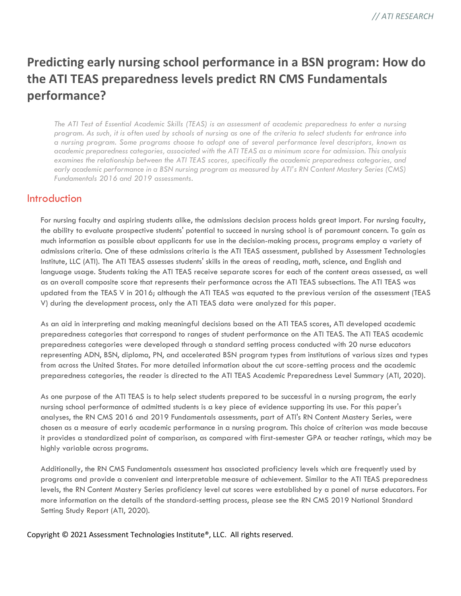# **Predicting early nursing school performance in a BSN program: How do the ATI TEAS preparedness levels predict RN CMS Fundamentals performance?**

*The ATI Test of Essential Academic Skills (TEAS) is an assessment of academic preparedness to enter a nursing program. As such, it is often used by schools of nursing as one of the criteria to select students for entrance into a nursing program. Some programs choose to adopt one of several performance level descriptors, known as academic preparedness categories, associated with the ATI TEAS as a minimum score for admission. This analysis examines the relationship between the ATI TEAS scores, specifically the academic preparedness categories, and early academic performance in a BSN nursing program as measured by ATI's RN Content Mastery Series (CMS) Fundamentals 2016 and 2019 assessments.*

### **Introduction**

For nursing faculty and aspiring students alike, the admissions decision process holds great import. For nursing faculty, the ability to evaluate prospective students' potential to succeed in nursing school is of paramount concern. To gain as much information as possible about applicants for use in the decision-making process, programs employ a variety of admissions criteria. One of these admissions criteria is the ATI TEAS assessment, published by Assessment Technologies Institute, LLC (ATI). The ATI TEAS assesses students' skills in the areas of reading, math, science, and English and language usage. Students taking the ATI TEAS receive separate scores for each of the content areas assessed, as well as an overall composite score that represents their performance across the ATI TEAS subsections. The ATI TEAS was updated from the TEAS V in 2016; although the ATI TEAS was equated to the previous version of the assessment (TEAS V) during the development process, only the ATI TEAS data were analyzed for this paper.

As an aid in interpreting and making meaningful decisions based on the ATI TEAS scores, ATI developed academic preparedness categories that correspond to ranges of student performance on the ATI TEAS. The ATI TEAS academic preparedness categories were developed through a standard setting process conducted with 20 nurse educators representing ADN, BSN, diploma, PN, and accelerated BSN program types from institutions of various sizes and types from across the United States. For more detailed information about the cut score-setting process and the academic preparedness categories, the reader is directed to the ATI TEAS Academic Preparedness Level Summary (ATI, 2020).

As one purpose of the ATI TEAS is to help select students prepared to be successful in a nursing program, the early nursing school performance of admitted students is a key piece of evidence supporting its use. For this paper's analyses, the RN CMS 2016 and 2019 Fundamentals assessments, part of ATI's RN Content Mastery Series, were chosen as a measure of early academic performance in a nursing program. This choice of criterion was made because it provides a standardized point of comparison, as compared with first-semester GPA or teacher ratings, which may be highly variable across programs.

Additionally, the RN CMS Fundamentals assessment has associated proficiency levels which are frequently used by programs and provide a convenient and interpretable measure of achievement. Similar to the ATI TEAS preparedness levels, the RN Content Mastery Series proficiency level cut scores were established by a panel of nurse educators. For more information on the details of the standard-setting process, please see the RN CMS 2019 National Standard Setting Study Report (ATI, 2020).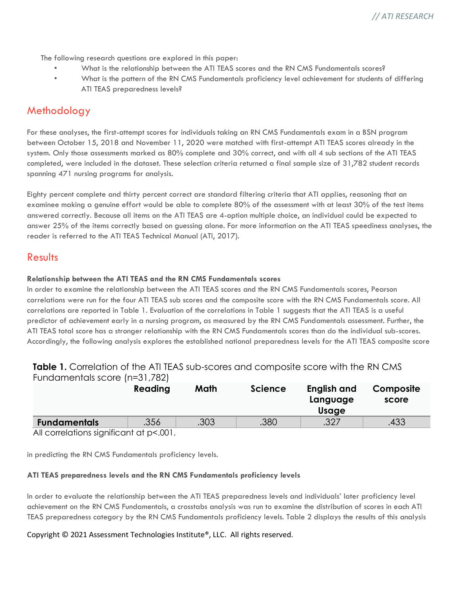The following research questions are explored in this paper:

- What is the relationship between the ATI TEAS scores and the RN CMS Fundamentals scores?
- What is the pattern of the RN CMS Fundamentals proficiency level achievement for students of differing ATI TEAS preparedness levels?

# Methodology

For these analyses, the first-attempt scores for individuals taking an RN CMS Fundamentals exam in a BSN program between October 15, 2018 and November 11, 2020 were matched with first-attempt ATI TEAS scores already in the system. Only those assessments marked as 80% complete and 30% correct, and with all 4 sub sections of the ATI TEAS completed, were included in the dataset. These selection criteria returned a final sample size of 31,782 student records spanning 471 nursing programs for analysis.

Eighty percent complete and thirty percent correct are standard filtering criteria that ATI applies, reasoning that an examinee making a genuine effort would be able to complete 80% of the assessment with at least 30% of the test items answered correctly. Because all items on the ATI TEAS are 4-option multiple choice, an individual could be expected to answer 25% of the items correctly based on guessing alone. For more information on the ATI TEAS speediness analyses, the reader is referred to the ATI TEAS Technical Manual (ATI, 2017).

## Results

#### **Relationship between the ATI TEAS and the RN CMS Fundamentals scores**

In order to examine the relationship between the ATI TEAS scores and the RN CMS Fundamentals scores, Pearson correlations were run for the four ATI TEAS sub scores and the composite score with the RN CMS Fundamentals score. All correlations are reported in Table 1. Evaluation of the correlations in Table 1 suggests that the ATI TEAS is a useful predictor of achievement early in a nursing program, as measured by the RN CMS Fundamentals assessment. Further, the ATI TEAS total score has a stronger relationship with the RN CMS Fundamentals scores than do the individual sub-scores. Accordingly, the following analysis explores the established national preparedness levels for the ATI TEAS composite score

#### **Table 1.** Correlation of the ATI TEAS sub-scores and composite score with the RN CMS Fundamentals score (n=31,782)

|                     | Reading                     | Math | <b>Science</b> | English and<br>Language<br>Usage | Composite<br>score |
|---------------------|-----------------------------|------|----------------|----------------------------------|--------------------|
| <b>Fundamentals</b> | .356                        | .303 | .380           | .327                             | .433               |
| $\sim$ 11           | $\sim$ $\sim$ $\sim$ $\sim$ |      |                |                                  |                    |

All correlations significant at p<.001.

in predicting the RN CMS Fundamentals proficiency levels.

#### **ATI TEAS preparedness levels and the RN CMS Fundamentals proficiency levels**

In order to evaluate the relationship between the ATI TEAS preparedness levels and individuals' later proficiency level achievement on the RN CMS Fundamentals, a crosstabs analysis was run to examine the distribution of scores in each ATI TEAS preparedness category by the RN CMS Fundamentals proficiency levels. Table 2 displays the results of this analysis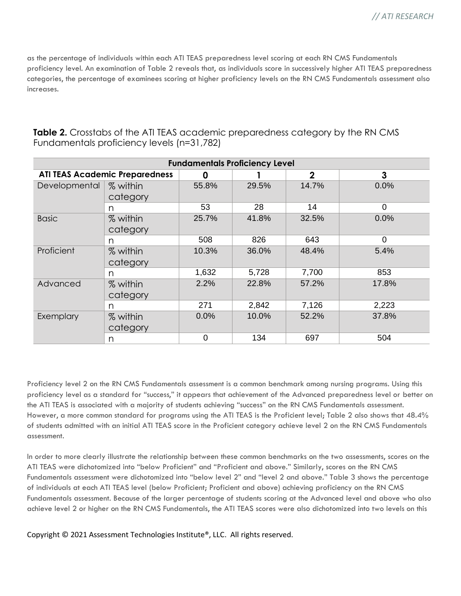as the percentage of individuals within each ATI TEAS preparedness level scoring at each RN CMS Fundamentals proficiency level. An examination of Table 2 reveals that, as individuals score in successively higher ATI TEAS preparedness categories, the percentage of examinees scoring at higher proficiency levels on the RN CMS Fundamentals assessment also increases.

| <b>Fundamentals Proficiency Level</b> |                      |                |       |              |                |
|---------------------------------------|----------------------|----------------|-------|--------------|----------------|
| <b>ATI TEAS Academic Preparedness</b> |                      | 0              |       | $\mathbf{2}$ | 3              |
| Developmental                         | % within<br>category | 55.8%          | 29.5% | 14.7%        | 0.0%           |
|                                       | n                    | 53             | 28    | 14           | 0              |
| <b>Basic</b>                          | % within<br>category | 25.7%          | 41.8% | 32.5%        | 0.0%           |
|                                       | n                    | 508            | 826   | 643          | $\overline{0}$ |
| Proficient                            | % within<br>category | 10.3%          | 36.0% | 48.4%        | 5.4%           |
|                                       | n                    | 1,632          | 5,728 | 7,700        | 853            |
| Advanced                              | % within<br>category | 2.2%           | 22.8% | 57.2%        | 17.8%          |
|                                       | n                    | 271            | 2,842 | 7,126        | 2,223          |
| Exemplary                             | % within<br>category | 0.0%           | 10.0% | 52.2%        | 37.8%          |
|                                       | n                    | $\overline{0}$ | 134   | 697          | 504            |

**Table 2.** Crosstabs of the ATI TEAS academic preparedness category by the RN CMS Fundamentals proficiency levels (n=31,782)

Proficiency level 2 on the RN CMS Fundamentals assessment is a common benchmark among nursing programs. Using this proficiency level as a standard for "success," it appears that achievement of the Advanced preparedness level or better on the ATI TEAS is associated with a majority of students achieving "success" on the RN CMS Fundamentals assessment. However, a more common standard for programs using the ATI TEAS is the Proficient level; Table 2 also shows that 48.4% of students admitted with an initial ATI TEAS score in the Proficient category achieve level 2 on the RN CMS Fundamentals assessment.

In order to more clearly illustrate the relationship between these common benchmarks on the two assessments, scores on the ATI TEAS were dichotomized into "below Proficient" and "Proficient and above." Similarly, scores on the RN CMS Fundamentals assessment were dichotomized into "below level 2" and "level 2 and above." Table 3 shows the percentage of individuals at each ATI TEAS level (below Proficient; Proficient and above) achieving proficiency on the RN CMS Fundamentals assessment. Because of the larger percentage of students scoring at the Advanced level and above who also achieve level 2 or higher on the RN CMS Fundamentals, the ATI TEAS scores were also dichotomized into two levels on this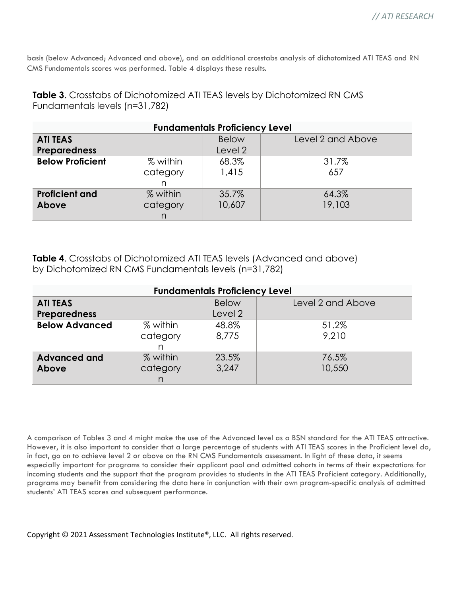basis (below Advanced; Advanced and above), and an additional crosstabs analysis of dichotomized ATI TEAS and RN CMS Fundamentals scores was performed. Table 4 displays these results.

| <b>Fundamentals Proficiency Level</b> |          |              |                   |  |  |
|---------------------------------------|----------|--------------|-------------------|--|--|
| <b>ATI TEAS</b>                       |          | <b>Below</b> | Level 2 and Above |  |  |
| <b>Preparedness</b>                   |          | Level 2      |                   |  |  |
| <b>Below Proficient</b>               | % within | 68.3%        | 31.7%             |  |  |
|                                       | category | 1,415        | 657               |  |  |
|                                       | n        |              |                   |  |  |
| <b>Proficient and</b>                 | % within | 35.7%        | 64.3%             |  |  |
| Above                                 | category | 10,607       | 19,103            |  |  |
|                                       | n        |              |                   |  |  |

**Table 3**. Crosstabs of Dichotomized ATI TEAS levels by Dichotomized RN CMS Fundamentals levels (n=31,782)

**Table 4**. Crosstabs of Dichotomized ATI TEAS levels (Advanced and above) by Dichotomized RN CMS Fundamentals levels (n=31,782)

| <b>Fundamentals Proficiency Level</b> |          |              |                   |  |  |
|---------------------------------------|----------|--------------|-------------------|--|--|
| <b>ATI TEAS</b>                       |          | <b>Below</b> | Level 2 and Above |  |  |
| <b>Preparedness</b>                   |          | Level 2      |                   |  |  |
| <b>Below Advanced</b>                 | % within | 48.8%        | 51.2%             |  |  |
|                                       | category | 8,775        | 9.210             |  |  |
|                                       | n        |              |                   |  |  |
| <b>Advanced and</b>                   | % within | 23.5%        | 76.5%             |  |  |
| Above                                 | category | 3,247        | 10,550            |  |  |
|                                       | n        |              |                   |  |  |

A comparison of Tables 3 and 4 might make the use of the Advanced level as a BSN standard for the ATI TEAS attractive. However, it is also important to consider that a large percentage of students with ATI TEAS scores in the Proficient level do, in fact, go on to achieve level 2 or above on the RN CMS Fundamentals assessment. In light of these data, it seems especially important for programs to consider their applicant pool and admitted cohorts in terms of their expectations for incoming students and the support that the program provides to students in the ATI TEAS Proficient category. Additionally, programs may benefit from considering the data here in conjunction with their own program-specific analysis of admitted students' ATI TEAS scores and subsequent performance.